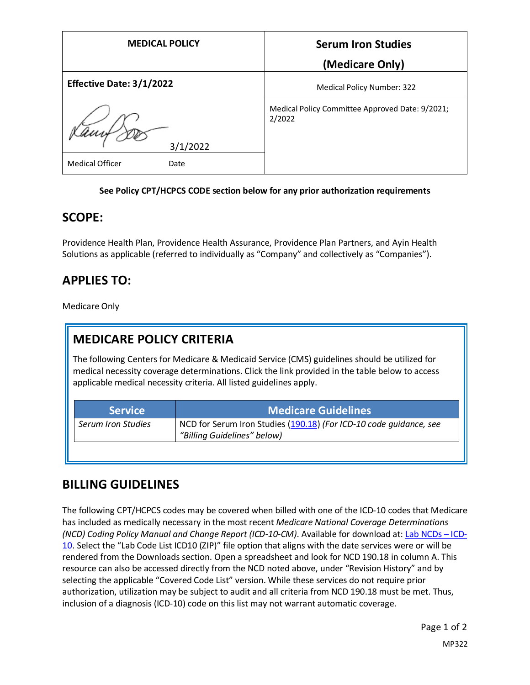| <b>MEDICAL POLICY</b>           | <b>Serum Iron Studies</b>                                 |
|---------------------------------|-----------------------------------------------------------|
|                                 | (Medicare Only)                                           |
| <b>Effective Date: 3/1/2022</b> | Medical Policy Number: 322                                |
| 3/1/2022                        | Medical Policy Committee Approved Date: 9/2021;<br>2/2022 |
| <b>Medical Officer</b><br>Date  |                                                           |

#### **See Policy CPT/HCPCS CODE section below for any prior authorization requirements**

#### **SCOPE:**

Providence Health Plan, Providence Health Assurance, Providence Plan Partners, and Ayin Health Solutions as applicable (referred to individually as "Company" and collectively as "Companies").

### **APPLIES TO:**

Medicare Only

# **MEDICARE POLICY CRITERIA**

The following Centers for Medicare & Medicaid Service (CMS) guidelines should be utilized for medical necessity coverage determinations. Click the link provided in the table below to access applicable medical necessity criteria. All listed guidelines apply.

| <b>Service</b>     | <b>Medicare Guidelines</b>                                                                        |
|--------------------|---------------------------------------------------------------------------------------------------|
| Serum Iron Studies | NCD for Serum Iron Studies (190.18) (For ICD-10 code quidance, see<br>"Billing Guidelines" below) |
|                    |                                                                                                   |

### **BILLING GUIDELINES**

The following CPT/HCPCS codes may be covered when billed with one of the ICD-10 codes that Medicare has included as medically necessary in the most recent *Medicare National Coverage Determinations (NCD) Coding Policy Manual and Change Report (ICD-10-CM)*. Available for download at: [Lab NCDs](https://www.cms.gov/Medicare/Coverage/CoverageGenInfo/LabNCDsICD10) – ICD-[10.](https://www.cms.gov/Medicare/Coverage/CoverageGenInfo/LabNCDsICD10) Select the "Lab Code List ICD10 (ZIP)" file option that aligns with the date services were or will be rendered from the Downloads section. Open a spreadsheet and look for NCD 190.18 in column A. This resource can also be accessed directly from the NCD noted above, under "Revision History" and by selecting the applicable "Covered Code List" version. While these services do not require prior authorization, utilization may be subject to audit and all criteria from NCD 190.18 must be met. Thus, inclusion of a diagnosis (ICD-10) code on this list may not warrant automatic coverage.